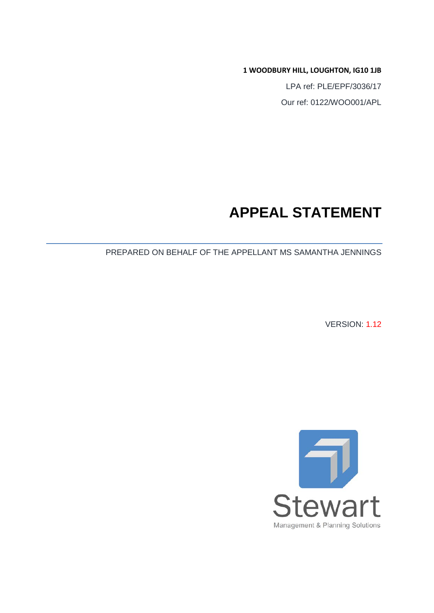**1 WOODBURY HILL, LOUGHTON, IG10 1JB**

LPA ref: PLE/EPF/3036/17 Our ref: 0122/WOO001/APL

## **APPEAL STATEMENT**

PREPARED ON BEHALF OF THE APPELLANT MS SAMANTHA JENNINGS

VERSION: 1.12

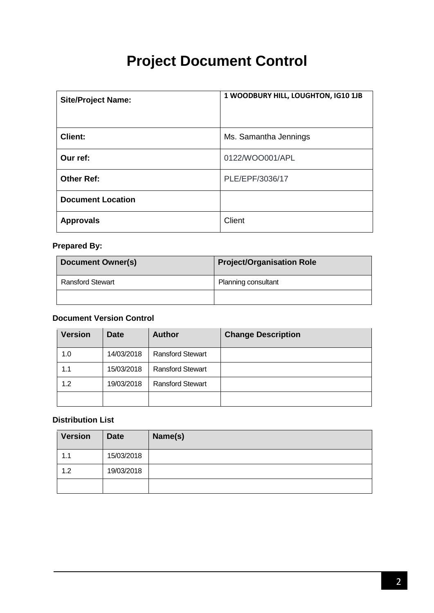# **Project Document Control**

| <b>Site/Project Name:</b> | 1 WOODBURY HILL, LOUGHTON, IG10 1JB |
|---------------------------|-------------------------------------|
| <b>Client:</b>            | Ms. Samantha Jennings               |
| Our ref:                  | 0122/WOO001/APL                     |
| <b>Other Ref:</b>         | PLE/EPF/3036/17                     |
| <b>Document Location</b>  |                                     |
| <b>Approvals</b>          | Client                              |

## **Prepared By:**

| <b>Document Owner(s)</b> | <b>Project/Organisation Role</b> |
|--------------------------|----------------------------------|
| <b>Ransford Stewart</b>  | Planning consultant              |
|                          |                                  |

#### **Document Version Control**

| <b>Version</b> | <b>Date</b> | <b>Author</b>           | <b>Change Description</b> |
|----------------|-------------|-------------------------|---------------------------|
| 1.0            | 14/03/2018  | <b>Ransford Stewart</b> |                           |
| 1.1            | 15/03/2018  | <b>Ransford Stewart</b> |                           |
| 1.2            | 19/03/2018  | <b>Ransford Stewart</b> |                           |
|                |             |                         |                           |

#### **Distribution List**

| <b>Version</b> | <b>Date</b> | Name(s) |
|----------------|-------------|---------|
| 1.1            | 15/03/2018  |         |
| 1.2            | 19/03/2018  |         |
|                |             |         |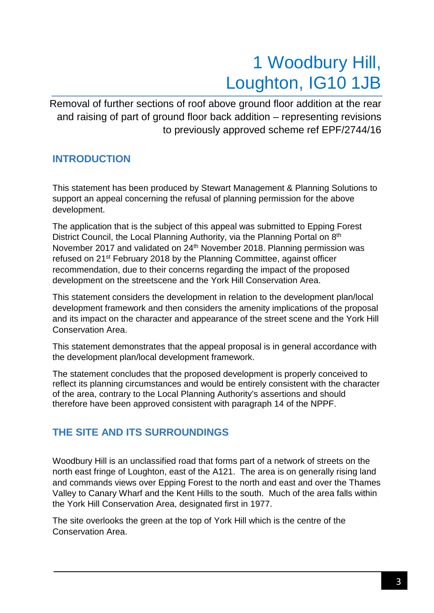# 1 Woodbury Hill, Loughton, IG10 1JB

Removal of further sections of roof above ground floor addition at the rear and raising of part of ground floor back addition – representing revisions to previously approved scheme ref EPF/2744/16

## **INTRODUCTION**

This statement has been produced by Stewart Management & Planning Solutions to support an appeal concerning the refusal of planning permission for the above development.

The application that is the subject of this appeal was submitted to Epping Forest District Council, the Local Planning Authority, via the Planning Portal on 8<sup>th</sup> November 2017 and validated on 24<sup>th</sup> November 2018. Planning permission was refused on 21st February 2018 by the Planning Committee, against officer recommendation, due to their concerns regarding the impact of the proposed development on the streetscene and the York Hill Conservation Area.

This statement considers the development in relation to the development plan/local development framework and then considers the amenity implications of the proposal and its impact on the character and appearance of the street scene and the York Hill Conservation Area.

This statement demonstrates that the appeal proposal is in general accordance with the development plan/local development framework.

The statement concludes that the proposed development is properly conceived to reflect its planning circumstances and would be entirely consistent with the character of the area, contrary to the Local Planning Authority's assertions and should therefore have been approved consistent with paragraph 14 of the NPPF.

## **THE SITE AND ITS SURROUNDINGS**

Woodbury Hill is an unclassified road that forms part of a network of streets on the north east fringe of Loughton, east of the A121. The area is on generally rising land and commands views over Epping Forest to the north and east and over the Thames Valley to Canary Wharf and the Kent Hills to the south. Much of the area falls within the York Hill Conservation Area, designated first in 1977.

The site overlooks the green at the top of York Hill which is the centre of the Conservation Area.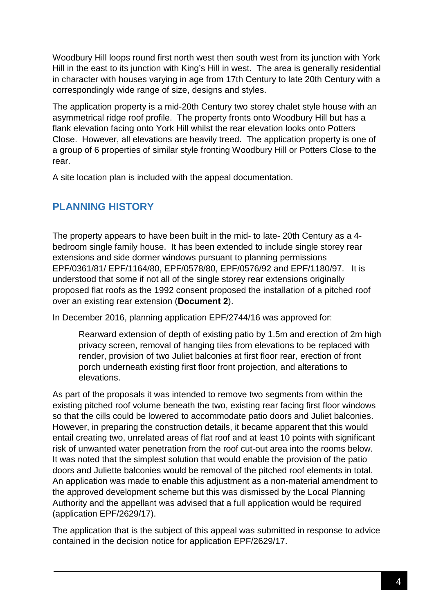Woodbury Hill loops round first north west then south west from its junction with York Hill in the east to its junction with King's Hill in west. The area is generally residential in character with houses varying in age from 17th Century to late 20th Century with a correspondingly wide range of size, designs and styles.

The application property is a mid-20th Century two storey chalet style house with an asymmetrical ridge roof profile. The property fronts onto Woodbury Hill but has a flank elevation facing onto York Hill whilst the rear elevation looks onto Potters Close. However, all elevations are heavily treed. The application property is one of a group of 6 properties of similar style fronting Woodbury Hill or Potters Close to the rear.

A site location plan is included with the appeal documentation.

## **PLANNING HISTORY**

The property appears to have been built in the mid- to late- 20th Century as a 4 bedroom single family house. It has been extended to include single storey rear extensions and side dormer windows pursuant to planning permissions EPF/0361/81/ EPF/1164/80, EPF/0578/80, EPF/0576/92 and EPF/1180/97. It is understood that some if not all of the single storey rear extensions originally proposed flat roofs as the 1992 consent proposed the installation of a pitched roof over an existing rear extension (**Document 2**).

In December 2016, planning application EPF/2744/16 was approved for:

Rearward extension of depth of existing patio by 1.5m and erection of 2m high privacy screen, removal of hanging tiles from elevations to be replaced with render, provision of two Juliet balconies at first floor rear, erection of front porch underneath existing first floor front projection, and alterations to elevations.

As part of the proposals it was intended to remove two segments from within the existing pitched roof volume beneath the two, existing rear facing first floor windows so that the cills could be lowered to accommodate patio doors and Juliet balconies. However, in preparing the construction details, it became apparent that this would entail creating two, unrelated areas of flat roof and at least 10 points with significant risk of unwanted water penetration from the roof cut-out area into the rooms below. It was noted that the simplest solution that would enable the provision of the patio doors and Juliette balconies would be removal of the pitched roof elements in total. An application was made to enable this adjustment as a non-material amendment to the approved development scheme but this was dismissed by the Local Planning Authority and the appellant was advised that a full application would be required (application EPF/2629/17).

The application that is the subject of this appeal was submitted in response to advice contained in the decision notice for application EPF/2629/17.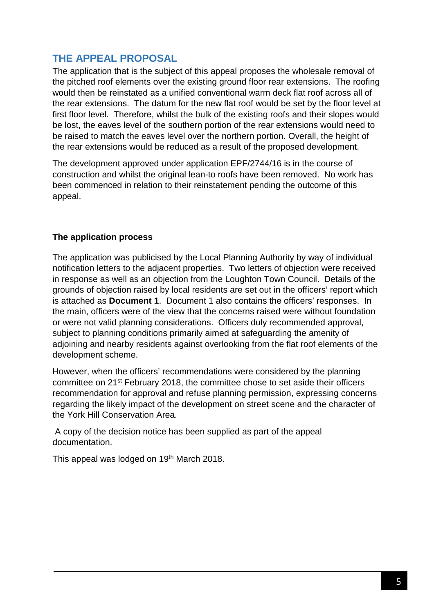## **THE APPEAL PROPOSAL**

The application that is the subject of this appeal proposes the wholesale removal of the pitched roof elements over the existing ground floor rear extensions. The roofing would then be reinstated as a unified conventional warm deck flat roof across all of the rear extensions. The datum for the new flat roof would be set by the floor level at first floor level. Therefore, whilst the bulk of the existing roofs and their slopes would be lost, the eaves level of the southern portion of the rear extensions would need to be raised to match the eaves level over the northern portion. Overall, the height of the rear extensions would be reduced as a result of the proposed development.

The development approved under application EPF/2744/16 is in the course of construction and whilst the original lean-to roofs have been removed. No work has been commenced in relation to their reinstatement pending the outcome of this appeal.

#### **The application process**

The application was publicised by the Local Planning Authority by way of individual notification letters to the adjacent properties. Two letters of objection were received in response as well as an objection from the Loughton Town Council. Details of the grounds of objection raised by local residents are set out in the officers' report which is attached as **Document 1**. Document 1 also contains the officers' responses. In the main, officers were of the view that the concerns raised were without foundation or were not valid planning considerations. Officers duly recommended approval, subject to planning conditions primarily aimed at safeguarding the amenity of adjoining and nearby residents against overlooking from the flat roof elements of the development scheme.

However, when the officers' recommendations were considered by the planning committee on 21st February 2018, the committee chose to set aside their officers recommendation for approval and refuse planning permission, expressing concerns regarding the likely impact of the development on street scene and the character of the York Hill Conservation Area.

A copy of the decision notice has been supplied as part of the appeal documentation.

This appeal was lodged on 19<sup>th</sup> March 2018.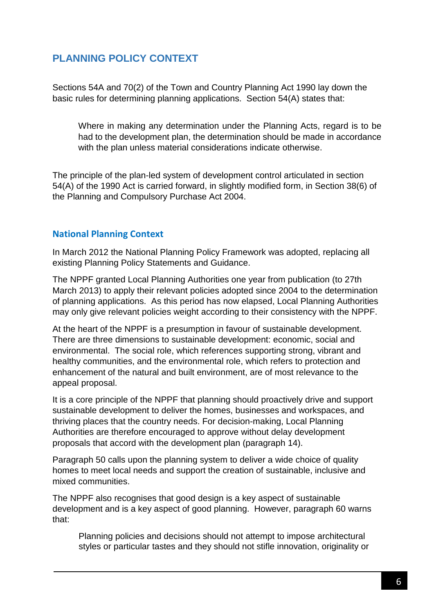## **PLANNING POLICY CONTEXT**

Sections 54A and 70(2) of the Town and Country Planning Act 1990 lay down the basic rules for determining planning applications. Section 54(A) states that:

Where in making any determination under the Planning Acts, regard is to be had to the development plan, the determination should be made in accordance with the plan unless material considerations indicate otherwise.

The principle of the plan-led system of development control articulated in section 54(A) of the 1990 Act is carried forward, in slightly modified form, in Section 38(6) of the Planning and Compulsory Purchase Act 2004.

#### **National Planning Context**

In March 2012 the National Planning Policy Framework was adopted, replacing all existing Planning Policy Statements and Guidance.

The NPPF granted Local Planning Authorities one year from publication (to 27th March 2013) to apply their relevant policies adopted since 2004 to the determination of planning applications. As this period has now elapsed, Local Planning Authorities may only give relevant policies weight according to their consistency with the NPPF.

At the heart of the NPPF is a presumption in favour of sustainable development. There are three dimensions to sustainable development: economic, social and environmental. The social role, which references supporting strong, vibrant and healthy communities, and the environmental role, which refers to protection and enhancement of the natural and built environment, are of most relevance to the appeal proposal.

It is a core principle of the NPPF that planning should proactively drive and support sustainable development to deliver the homes, businesses and workspaces, and thriving places that the country needs. For decision-making, Local Planning Authorities are therefore encouraged to approve without delay development proposals that accord with the development plan (paragraph 14).

Paragraph 50 calls upon the planning system to deliver a wide choice of quality homes to meet local needs and support the creation of sustainable, inclusive and mixed communities.

The NPPF also recognises that good design is a key aspect of sustainable development and is a key aspect of good planning. However, paragraph 60 warns that:

Planning policies and decisions should not attempt to impose architectural styles or particular tastes and they should not stifle innovation, originality or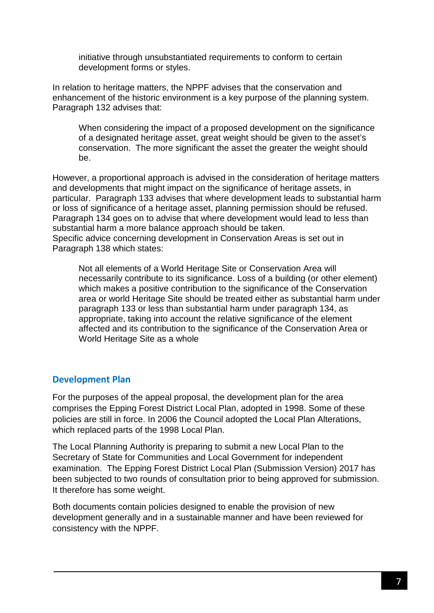initiative through unsubstantiated requirements to conform to certain development forms or styles.

In relation to heritage matters, the NPPF advises that the conservation and enhancement of the historic environment is a key purpose of the planning system. Paragraph 132 advises that:

When considering the impact of a proposed development on the significance of a designated heritage asset, great weight should be given to the asset's conservation. The more significant the asset the greater the weight should be.

However, a proportional approach is advised in the consideration of heritage matters and developments that might impact on the significance of heritage assets, in particular. Paragraph 133 advises that where development leads to substantial harm or loss of significance of a heritage asset, planning permission should be refused. Paragraph 134 goes on to advise that where development would lead to less than substantial harm a more balance approach should be taken. Specific advice concerning development in Conservation Areas is set out in Paragraph 138 which states:

Not all elements of a World Heritage Site or Conservation Area will necessarily contribute to its significance. Loss of a building (or other element) which makes a positive contribution to the significance of the Conservation area or world Heritage Site should be treated either as substantial harm under paragraph 133 or less than substantial harm under paragraph 134, as appropriate, taking into account the relative significance of the element affected and its contribution to the significance of the Conservation Area or World Heritage Site as a whole

#### **Development Plan**

For the purposes of the appeal proposal, the development plan for the area comprises the Epping Forest District Local Plan, adopted in 1998. Some of these policies are still in force. In 2006 the Council adopted the Local Plan Alterations, which replaced parts of the 1998 Local Plan.

The Local Planning Authority is preparing to submit a new Local Plan to the Secretary of State for Communities and Local Government for independent examination. The Epping Forest District Local Plan (Submission Version) 2017 has been subjected to two rounds of consultation prior to being approved for submission. It therefore has some weight.

Both documents contain policies designed to enable the provision of new development generally and in a sustainable manner and have been reviewed for consistency with the NPPF.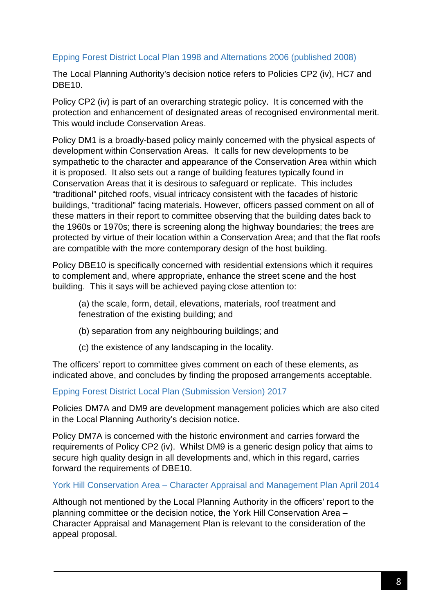#### Epping Forest District Local Plan 1998 and Alternations 2006 (published 2008)

The Local Planning Authority's decision notice refers to Policies CP2 (iv), HC7 and DBF<sub>10</sub>

Policy CP2 (iv) is part of an overarching strategic policy. It is concerned with the protection and enhancement of designated areas of recognised environmental merit. This would include Conservation Areas.

Policy DM1 is a broadly-based policy mainly concerned with the physical aspects of development within Conservation Areas. It calls for new developments to be sympathetic to the character and appearance of the Conservation Area within which it is proposed. It also sets out a range of building features typically found in Conservation Areas that it is desirous to safeguard or replicate. This includes "traditional" pitched roofs, visual intricacy consistent with the facades of historic buildings, "traditional" facing materials. However, officers passed comment on all of these matters in their report to committee observing that the building dates back to the 1960s or 1970s; there is screening along the highway boundaries; the trees are protected by virtue of their location within a Conservation Area; and that the flat roofs are compatible with the more contemporary design of the host building.

Policy DBE10 is specifically concerned with residential extensions which it requires to complement and, where appropriate, enhance the street scene and the host building. This it says will be achieved paying close attention to:

(a) the scale, form, detail, elevations, materials, roof treatment and fenestration of the existing building; and

- (b) separation from any neighbouring buildings; and
- (c) the existence of any landscaping in the locality.

The officers' report to committee gives comment on each of these elements, as indicated above, and concludes by finding the proposed arrangements acceptable.

#### Epping Forest District Local Plan (Submission Version) 2017

Policies DM7A and DM9 are development management policies which are also cited in the Local Planning Authority's decision notice.

Policy DM7A is concerned with the historic environment and carries forward the requirements of Policy CP2 (iv). Whilst DM9 is a generic design policy that aims to secure high quality design in all developments and, which in this regard, carries forward the requirements of DBE10.

#### York Hill Conservation Area – Character Appraisal and Management Plan April 2014

Although not mentioned by the Local Planning Authority in the officers' report to the planning committee or the decision notice, the York Hill Conservation Area – Character Appraisal and Management Plan is relevant to the consideration of the appeal proposal.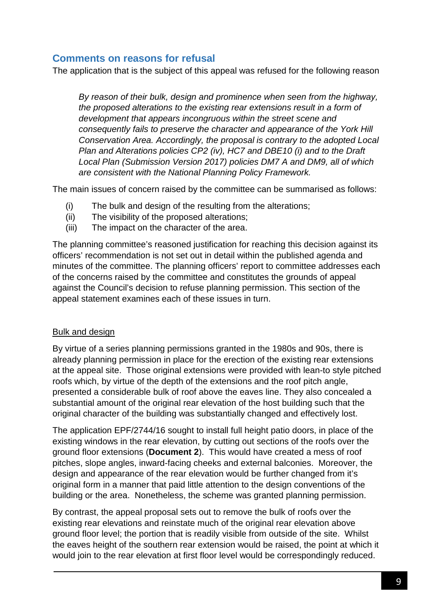### **Comments on reasons for refusal**

The application that is the subject of this appeal was refused for the following reason

*By reason of their bulk, design and prominence when seen from the highway, the proposed alterations to the existing rear extensions result in a form of development that appears incongruous within the street scene and consequently fails to preserve the character and appearance of the York Hill Conservation Area. Accordingly, the proposal is contrary to the adopted Local Plan and Alterations policies CP2 (iv), HC7 and DBE10 (i) and to the Draft Local Plan (Submission Version 2017) policies DM7 A and DM9, all of which are consistent with the National Planning Policy Framework.*

The main issues of concern raised by the committee can be summarised as follows:

- (i) The bulk and design of the resulting from the alterations;
- (ii) The visibility of the proposed alterations;
- (iii) The impact on the character of the area.

The planning committee's reasoned justification for reaching this decision against its officers' recommendation is not set out in detail within the published agenda and minutes of the committee. The planning officers' report to committee addresses each of the concerns raised by the committee and constitutes the grounds of appeal against the Council's decision to refuse planning permission. This section of the appeal statement examines each of these issues in turn.

#### Bulk and design

By virtue of a series planning permissions granted in the 1980s and 90s, there is already planning permission in place for the erection of the existing rear extensions at the appeal site. Those original extensions were provided with lean-to style pitched roofs which, by virtue of the depth of the extensions and the roof pitch angle, presented a considerable bulk of roof above the eaves line. They also concealed a substantial amount of the original rear elevation of the host building such that the original character of the building was substantially changed and effectively lost.

The application EPF/2744/16 sought to install full height patio doors, in place of the existing windows in the rear elevation, by cutting out sections of the roofs over the ground floor extensions (**Document 2**). This would have created a mess of roof pitches, slope angles, inward-facing cheeks and external balconies. Moreover, the design and appearance of the rear elevation would be further changed from it's original form in a manner that paid little attention to the design conventions of the building or the area. Nonetheless, the scheme was granted planning permission.

By contrast, the appeal proposal sets out to remove the bulk of roofs over the existing rear elevations and reinstate much of the original rear elevation above ground floor level; the portion that is readily visible from outside of the site. Whilst the eaves height of the southern rear extension would be raised, the point at which it would join to the rear elevation at first floor level would be correspondingly reduced.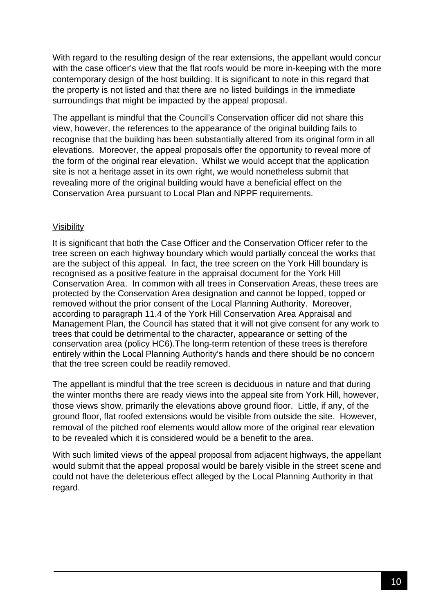With regard to the resulting design of the rear extensions, the appellant would concur with the case officer's view that the flat roofs would be more in-keeping with the more contemporary design of the host building. It is significant to note in this regard that the property is not listed and that there are no listed buildings in the immediate surroundings that might be impacted by the appeal proposal.

The appellant is mindful that the Council's Conservation officer did not share this view, however, the references to the appearance of the original building fails to recognise that the building has been substantially altered from its original form in all elevations. Moreover, the appeal proposals offer the opportunity to reveal more of the form of the original rear elevation. Whilst we would accept that the application site is not a heritage asset in its own right, we would nonetheless submit that revealing more of the original building would have a beneficial effect on the Conservation Area pursuant to Local Plan and NPPF requirements.

#### Visibility

It is significant that both the Case Officer and the Conservation Officer refer to the tree screen on each highway boundary which would partially conceal the works that are the subject of this appeal. In fact, the tree screen on the York Hill boundary is recognised as a positive feature in the appraisal document for the York Hill Conservation Area. In common with all trees in Conservation Areas, these trees are protected by the Conservation Area designation and cannot be lopped, topped or removed without the prior consent of the Local Planning Authority. Moreover, according to paragraph 11.4 of the York Hill Conservation Area Appraisal and Management Plan, the Council has stated that it will not give consent for any work to trees that could be detrimental to the character, appearance or setting of the conservation area (policy HC6).The long-term retention of these trees is therefore entirely within the Local Planning Authority's hands and there should be no concern that the tree screen could be readily removed.

The appellant is mindful that the tree screen is deciduous in nature and that during the winter months there are ready views into the appeal site from York Hill, however, those views show, primarily the elevations above ground floor. Little, if any, of the ground floor, flat roofed extensions would be visible from outside the site. However, removal of the pitched roof elements would allow more of the original rear elevation to be revealed which it is considered would be a benefit to the area.

With such limited views of the appeal proposal from adjacent highways, the appellant would submit that the appeal proposal would be barely visible in the street scene and could not have the deleterious effect alleged by the Local Planning Authority in that regard.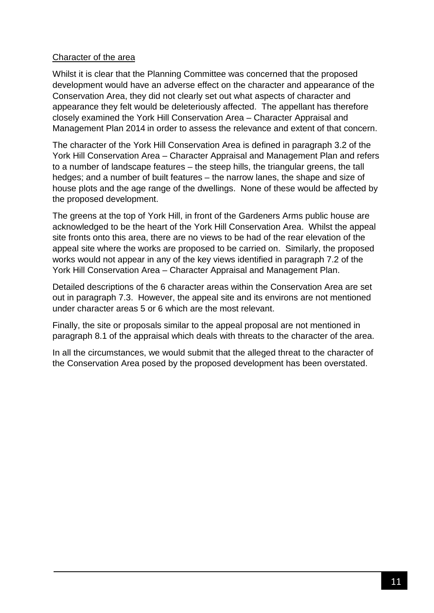#### Character of the area

Whilst it is clear that the Planning Committee was concerned that the proposed development would have an adverse effect on the character and appearance of the Conservation Area, they did not clearly set out what aspects of character and appearance they felt would be deleteriously affected. The appellant has therefore closely examined the York Hill Conservation Area – Character Appraisal and Management Plan 2014 in order to assess the relevance and extent of that concern.

The character of the York Hill Conservation Area is defined in paragraph 3.2 of the York Hill Conservation Area – Character Appraisal and Management Plan and refers to a number of landscape features – the steep hills, the triangular greens, the tall hedges; and a number of built features – the narrow lanes, the shape and size of house plots and the age range of the dwellings. None of these would be affected by the proposed development.

The greens at the top of York Hill, in front of the Gardeners Arms public house are acknowledged to be the heart of the York Hill Conservation Area. Whilst the appeal site fronts onto this area, there are no views to be had of the rear elevation of the appeal site where the works are proposed to be carried on. Similarly, the proposed works would not appear in any of the key views identified in paragraph 7.2 of the York Hill Conservation Area – Character Appraisal and Management Plan.

Detailed descriptions of the 6 character areas within the Conservation Area are set out in paragraph 7.3. However, the appeal site and its environs are not mentioned under character areas 5 or 6 which are the most relevant.

Finally, the site or proposals similar to the appeal proposal are not mentioned in paragraph 8.1 of the appraisal which deals with threats to the character of the area.

In all the circumstances, we would submit that the alleged threat to the character of the Conservation Area posed by the proposed development has been overstated.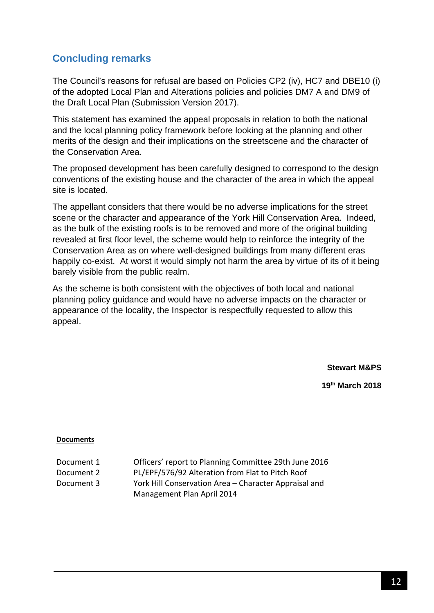## **Concluding remarks**

The Council's reasons for refusal are based on Policies CP2 (iv), HC7 and DBE10 (i) of the adopted Local Plan and Alterations policies and policies DM7 A and DM9 of the Draft Local Plan (Submission Version 2017).

This statement has examined the appeal proposals in relation to both the national and the local planning policy framework before looking at the planning and other merits of the design and their implications on the streetscene and the character of the Conservation Area.

The proposed development has been carefully designed to correspond to the design conventions of the existing house and the character of the area in which the appeal site is located.

The appellant considers that there would be no adverse implications for the street scene or the character and appearance of the York Hill Conservation Area. Indeed, as the bulk of the existing roofs is to be removed and more of the original building revealed at first floor level, the scheme would help to reinforce the integrity of the Conservation Area as on where well-designed buildings from many different eras happily co-exist. At worst it would simply not harm the area by virtue of its of it being barely visible from the public realm.

As the scheme is both consistent with the objectives of both local and national planning policy guidance and would have no adverse impacts on the character or appearance of the locality, the Inspector is respectfully requested to allow this appeal.

**Stewart M&PS**

**19th March 2018**

#### **Documents**

| Document 1 | Officers' report to Planning Committee 29th June 2016 |
|------------|-------------------------------------------------------|
| Document 2 | PL/EPF/576/92 Alteration from Flat to Pitch Roof      |
| Document 3 | York Hill Conservation Area – Character Appraisal and |
|            | Management Plan April 2014                            |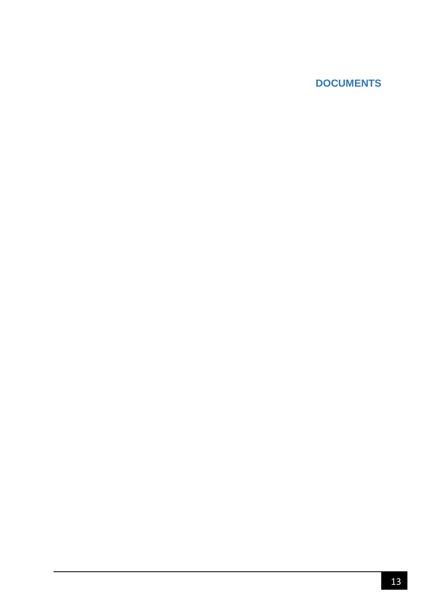## **DOCUMENTS**